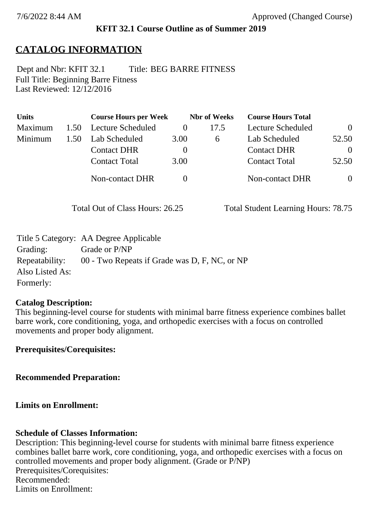### **KFIT 32.1 Course Outline as of Summer 2019**

# **CATALOG INFORMATION**

Full Title: Beginning Barre Fitness Last Reviewed: 12/12/2016 Dept and Nbr: KFIT 32.1 Title: BEG BARRE FITNESS

| <b>Units</b> |      | <b>Course Hours per Week</b> |          | <b>Nbr</b> of Weeks | <b>Course Hours Total</b> |                |
|--------------|------|------------------------------|----------|---------------------|---------------------------|----------------|
| Maximum      | 1.50 | <b>Lecture Scheduled</b>     | $\theta$ | 17.5                | Lecture Scheduled         | $\theta$       |
| Minimum      | 1.50 | Lab Scheduled                | 3.00     | 6                   | Lab Scheduled             | 52.50          |
|              |      | <b>Contact DHR</b>           | $\theta$ |                     | <b>Contact DHR</b>        | $\theta$       |
|              |      | <b>Contact Total</b>         | 3.00     |                     | <b>Contact Total</b>      | 52.50          |
|              |      | Non-contact DHR              |          |                     | <b>Non-contact DHR</b>    | $\overline{0}$ |

Total Out of Class Hours: 26.25 Total Student Learning Hours: 78.75

|                 | Title 5 Category: AA Degree Applicable        |
|-----------------|-----------------------------------------------|
| Grading:        | Grade or P/NP                                 |
| Repeatability:  | 00 - Two Repeats if Grade was D, F, NC, or NP |
| Also Listed As: |                                               |
| Formerly:       |                                               |

#### **Catalog Description:**

This beginning-level course for students with minimal barre fitness experience combines ballet barre work, core conditioning, yoga, and orthopedic exercises with a focus on controlled movements and proper body alignment.

**Prerequisites/Corequisites:**

**Recommended Preparation:**

**Limits on Enrollment:**

### **Schedule of Classes Information:**

Description: This beginning-level course for students with minimal barre fitness experience combines ballet barre work, core conditioning, yoga, and orthopedic exercises with a focus on controlled movements and proper body alignment. (Grade or P/NP) Prerequisites/Corequisites: Recommended: Limits on Enrollment: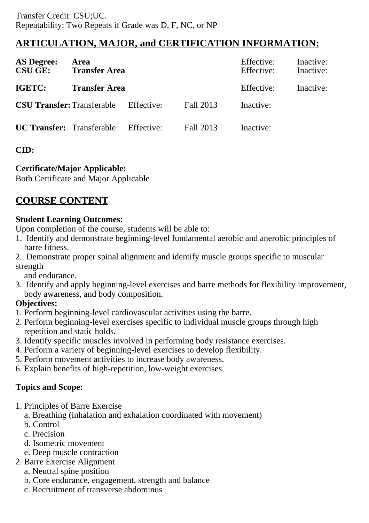# **ARTICULATION, MAJOR, and CERTIFICATION INFORMATION:**

| <b>AS Degree:</b><br><b>CSU GE:</b> | Area<br><b>Transfer Area</b> |            | Effective:<br>Effective: | Inactive:<br>Inactive: |  |
|-------------------------------------|------------------------------|------------|--------------------------|------------------------|--|
| <b>IGETC:</b>                       | <b>Transfer Area</b>         |            | Effective:               | Inactive:              |  |
| <b>CSU Transfer: Transferable</b>   |                              | Effective: | Fall 2013                | Inactive:              |  |
| <b>UC Transfer:</b> Transferable    |                              | Effective: | Fall 2013                | Inactive:              |  |

## **CID:**

## **Certificate/Major Applicable:**

[Both Certificate and Major Applicable](SR_ClassCheck.aspx?CourseKey=KFIT32.1)

# **COURSE CONTENT**

### **Student Learning Outcomes:**

Upon completion of the course, students will be able to:

- 1. Identify and demonstrate beginning-level fundamental aerobic and anerobic principles of barre fitness.
- 2. Demonstrate proper spinal alignment and identify muscle groups specific to muscular strength

and endurance.

3. Identify and apply beginning-level exercises and barre methods for flexibility improvement, body awareness, and body composition.

### **Objectives:**

- 1. Perform beginning-level cardiovascular activities using the barre.
- 2. Perform beginning-level exercises specific to individual muscle groups through high repetition and static holds.
- 3. Identify specific muscles involved in performing body resistance exercises.
- 4. Perform a variety of beginning-level exercises to develop flexibility.
- 5. Perform movement activities to increase body awareness.
- 6. Explain benefits of high-repetition, low-weight exercises.

## **Topics and Scope:**

- 1. Principles of Barre Exercise
	- a. Breathing (inhalation and exhalation coordinated with movement)
	- b. Control
	- c. Precision
	- d. Isometric movement
	- e. Deep muscle contraction
- 2. Barre Exercise Alignment
	- a. Neutral spine position
	- b. Core endurance, engagement, strength and balance
	- c. Recruitment of transverse abdominus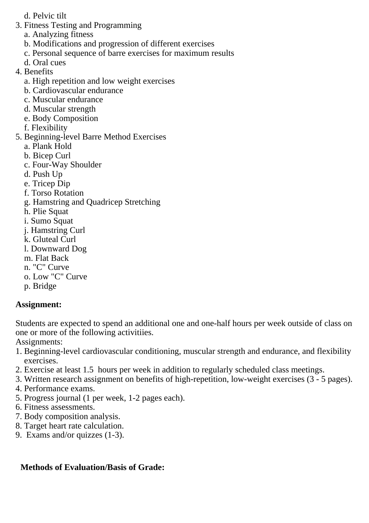- d. Pelvic tilt
- 3. Fitness Testing and Programming
	- a. Analyzing fitness
	- b. Modifications and progression of different exercises
	- c. Personal sequence of barre exercises for maximum results
	- d. Oral cues
- 4. Benefits
	- a. High repetition and low weight exercises
	- b. Cardiovascular endurance
	- c. Muscular endurance
	- d. Muscular strength
	- e. Body Composition
	- f. Flexibility
- 5. Beginning-level Barre Method Exercises
	- a. Plank Hold
	- b. Bicep Curl
	- c. Four-Way Shoulder
	- d. Push Up
	- e. Tricep Dip
	- f. Torso Rotation
	- g. Hamstring and Quadricep Stretching
	- h. Plie Squat
	- i. Sumo Squat
	- j. Hamstring Curl
	- k. Gluteal Curl
	- l. Downward Dog
	- m. Flat Back
	- n. "C" Curve
	- o. Low "C" Curve
	- p. Bridge

### **Assignment:**

Students are expected to spend an additional one and one-half hours per week outside of class on one or more of the following activitiies.

Assignments:

- 1. Beginning-level cardiovascular conditioning, muscular strength and endurance, and flexibility exercises.
- 2. Exercise at least 1.5 hours per week in addition to regularly scheduled class meetings.
- 3. Written research assignment on benefits of high-repetition, low-weight exercises (3 5 pages).
- 4. Performance exams.
- 5. Progress journal (1 per week, 1-2 pages each).
- 6. Fitness assessments.
- 7. Body composition analysis.
- 8. Target heart rate calculation.
- 9. Exams and/or quizzes (1-3).

## **Methods of Evaluation/Basis of Grade:**